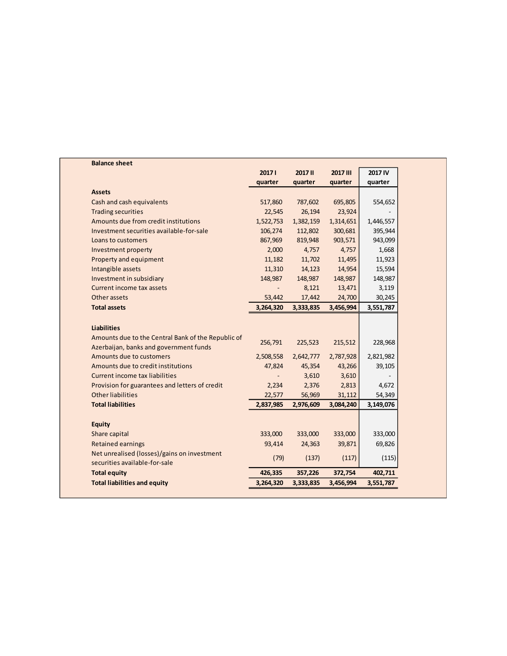| <b>Balance sheet</b>                               |           |                |           |           |
|----------------------------------------------------|-----------|----------------|-----------|-----------|
|                                                    | 20171     | <b>2017 II</b> | 2017 III  | 2017 IV   |
|                                                    | quarter   | quarter        | quarter   | quarter   |
| <b>Assets</b>                                      |           |                |           |           |
| Cash and cash equivalents                          | 517,860   | 787,602        | 695,805   | 554,652   |
| <b>Trading securities</b>                          | 22,545    | 26,194         | 23,924    |           |
| Amounts due from credit institutions               | 1,522,753 | 1,382,159      | 1,314,651 | 1,446,557 |
| Investment securities available-for-sale           | 106,274   | 112,802        | 300,681   | 395,944   |
| Loans to customers                                 | 867,969   | 819,948        | 903,571   | 943,099   |
| Investment property                                | 2,000     | 4,757          | 4,757     | 1,668     |
| Property and equipment                             | 11,182    | 11,702         | 11,495    | 11,923    |
| Intangible assets                                  | 11,310    | 14,123         | 14,954    | 15,594    |
| Investment in subsidiary                           | 148,987   | 148,987        | 148,987   | 148,987   |
| Current income tax assets                          |           | 8,121          | 13,471    | 3,119     |
| Other assets                                       | 53,442    | 17,442         | 24,700    | 30,245    |
| <b>Total assets</b>                                | 3,264,320 | 3,333,835      | 3,456,994 | 3,551,787 |
|                                                    |           |                |           |           |
| <b>Liabilities</b>                                 |           |                |           |           |
| Amounts due to the Central Bank of the Republic of | 256,791   | 225,523        | 215,512   | 228,968   |
| Azerbaijan, banks and government funds             |           |                |           |           |
| Amounts due to customers                           | 2,508,558 | 2,642,777      | 2,787,928 | 2,821,982 |
| Amounts due to credit institutions                 | 47,824    | 45,354         | 43,266    | 39,105    |
| <b>Current income tax liabilities</b>              |           | 3,610          | 3,610     |           |
| Provision for guarantees and letters of credit     | 2,234     | 2,376          | 2,813     | 4,672     |
| <b>Other liabilities</b>                           | 22,577    | 56,969         | 31,112    | 54,349    |
| <b>Total liabilities</b>                           | 2,837,985 | 2,976,609      | 3,084,240 | 3,149,076 |
|                                                    |           |                |           |           |
| <b>Equity</b>                                      |           |                |           |           |
| Share capital                                      | 333,000   | 333,000        | 333,000   | 333,000   |
| <b>Retained earnings</b>                           | 93,414    | 24,363         | 39,871    | 69,826    |
| Net unrealised (losses)/gains on investment        | (79)      | (137)          | (117)     | (115)     |
| securities available-for-sale                      |           |                |           |           |
| <b>Total equity</b>                                | 426,335   | 357,226        | 372,754   | 402,711   |
| <b>Total liabilities and equity</b>                | 3,264,320 | 3,333,835      | 3,456,994 | 3,551,787 |
|                                                    |           |                |           |           |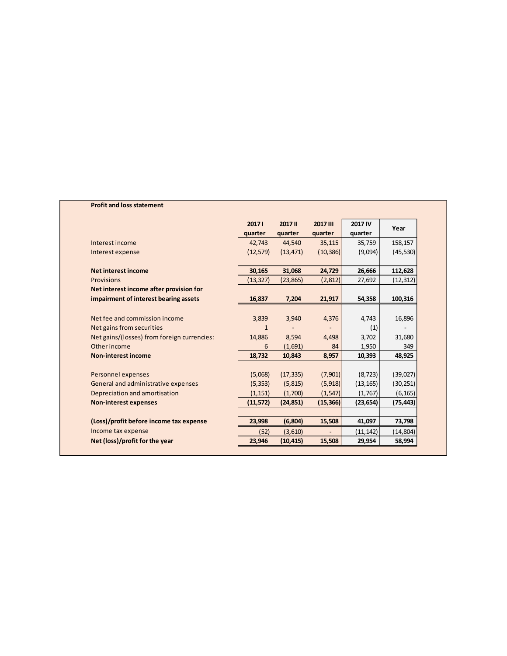## **Profit and loss statement**

|                                             | 20171     | <b>2017 II</b> | 2017 III       | 2017 IV   | Year      |
|---------------------------------------------|-----------|----------------|----------------|-----------|-----------|
|                                             | quarter   | quarter        | quarter        | quarter   |           |
| Interest income                             | 42,743    | 44,540         | 35,115         | 35,759    | 158,157   |
| Interest expense                            | (12, 579) | (13, 471)      | (10, 386)      | (9,094)   | (45, 530) |
| Net interest income                         | 30,165    | 31,068         | 24,729         | 26,666    | 112,628   |
| <b>Provisions</b>                           | (13, 327) | (23, 865)      | (2,812)        | 27,692    | (12, 312) |
| Net interest income after provision for     |           |                |                |           |           |
| impairment of interest bearing assets       | 16,837    | 7,204          | 21,917         | 54,358    | 100,316   |
|                                             |           |                |                |           |           |
| Net fee and commission income               | 3,839     | 3,940          | 4,376          | 4,743     | 16,896    |
| Net gains from securities                   | 1         |                |                | (1)       |           |
| Net gains/(losses) from foreign currencies: | 14,886    | 8,594          | 4,498          | 3,702     | 31,680    |
| Other income                                | 6         | (1,691)        | 84             | 1,950     | 349       |
| <b>Non-interest income</b>                  | 18,732    | 10,843         | 8,957          | 10,393    | 48,925    |
| Personnel expenses                          | (5,068)   | (17, 335)      | (7,901)        | (8, 723)  | (39, 027) |
| General and administrative expenses         | (5, 353)  | (5, 815)       | (5, 918)       | (13, 165) | (30, 251) |
| Depreciation and amortisation               | (1, 151)  | (1,700)        | (1, 547)       | (1,767)   | (6, 165)  |
| <b>Non-interest expenses</b>                | (11, 572) | (24, 851)      | (15, 366)      | (23, 654) | (75,443)  |
|                                             |           |                |                |           |           |
| (Loss)/profit before income tax expense     | 23,998    | (6, 804)       | 15,508         | 41,097    | 73,798    |
| Income tax expense                          | (52)      | (3,610)        | $\overline{a}$ | (11, 142) | (14, 804) |
| Net (loss)/profit for the year              | 23,946    | (10, 415)      | 15,508         | 29,954    | 58,994    |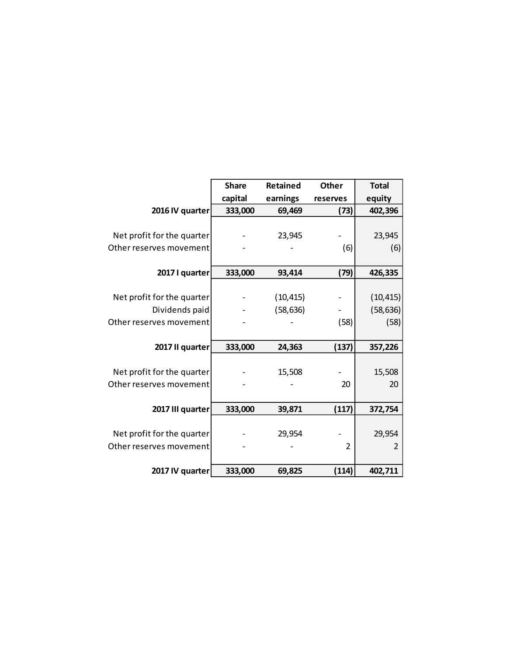|                            | <b>Share</b> | <b>Retained</b>      | <b>Other</b>   | <b>Total</b> |  |
|----------------------------|--------------|----------------------|----------------|--------------|--|
|                            | capital      | earnings<br>reserves |                | equity       |  |
| 2016 IV quarter            | 333,000      | 69,469<br>(73)       |                | 402,396      |  |
|                            |              |                      |                |              |  |
| Net profit for the quarter |              | 23,945               |                | 23,945       |  |
| Other reserves movement    |              |                      | (6)            | (6)          |  |
|                            |              |                      |                |              |  |
| 2017 I quarter             | 333,000      | 93,414<br>(79)       |                | 426,335      |  |
|                            |              |                      |                |              |  |
| Net profit for the quarter |              | (10, 415)            |                | (10, 415)    |  |
| Dividends paid             |              | (58, 636)            |                | (58, 636)    |  |
| Other reserves movement    |              |                      | (58)           | (58)         |  |
|                            |              |                      |                |              |  |
| 2017 II quarter            | 333,000      | 24,363               | (137)          | 357,226      |  |
|                            |              |                      |                |              |  |
| Net profit for the quarter |              | 15,508               |                | 15,508       |  |
| Other reserves movement    |              |                      | 20             | 20           |  |
|                            |              |                      |                |              |  |
| 2017 III quarter           | 333,000      | 39,871               | (117)          | 372,754      |  |
|                            |              |                      |                |              |  |
| Net profit for the quarter |              | 29,954               |                | 29,954       |  |
| Other reserves movement    |              |                      | $\overline{2}$ | 2            |  |
|                            |              |                      |                |              |  |
| 2017 IV quarter            | 333,000      | 69,825               | (114)          | 402,711      |  |